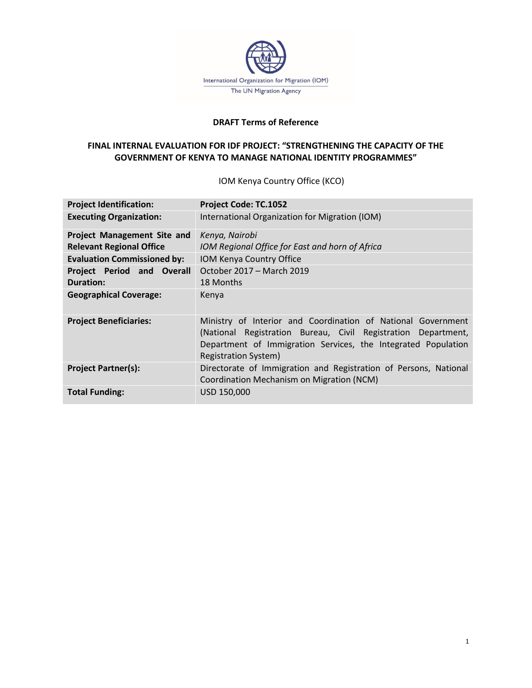

### **DRAFT Terms of Reference**

### **FINAL INTERNAL EVALUATION FOR IDF PROJECT: "STRENGTHENING THE CAPACITY OF THE GOVERNMENT OF KENYA TO MANAGE NATIONAL IDENTITY PROGRAMMES"**

IOM Kenya Country Office (KCO)

| <b>Project Identification:</b>     | Project Code: TC.1052                                                                                                                                                                                                  |  |
|------------------------------------|------------------------------------------------------------------------------------------------------------------------------------------------------------------------------------------------------------------------|--|
| <b>Executing Organization:</b>     | International Organization for Migration (IOM)                                                                                                                                                                         |  |
| Project Management Site and        | Kenya, Nairobi                                                                                                                                                                                                         |  |
| <b>Relevant Regional Office</b>    | IOM Regional Office for East and horn of Africa                                                                                                                                                                        |  |
| <b>Evaluation Commissioned by:</b> | <b>IOM Kenya Country Office</b>                                                                                                                                                                                        |  |
| Project Period and Overall         | October 2017 - March 2019                                                                                                                                                                                              |  |
| <b>Duration:</b>                   | 18 Months                                                                                                                                                                                                              |  |
| <b>Geographical Coverage:</b>      | Kenya                                                                                                                                                                                                                  |  |
| <b>Project Beneficiaries:</b>      | Ministry of Interior and Coordination of National Government<br>(National Registration Bureau, Civil Registration Department,<br>Department of Immigration Services, the Integrated Population<br>Registration System) |  |
| <b>Project Partner(s):</b>         | Directorate of Immigration and Registration of Persons, National<br>Coordination Mechanism on Migration (NCM)                                                                                                          |  |
| <b>Total Funding:</b>              | USD 150,000                                                                                                                                                                                                            |  |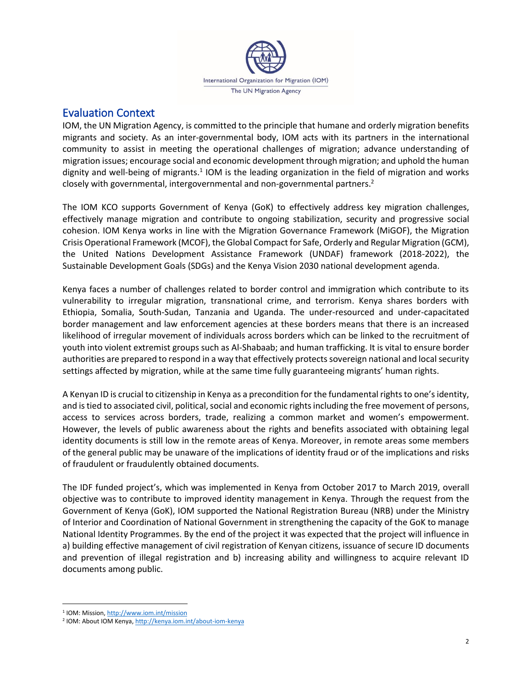

### Evaluation Context

IOM, the UN Migration Agency, is committed to the principle that humane and orderly migration benefits migrants and society. As an inter-governmental body, IOM acts with its partners in the international community to assist in meeting the operational challenges of migration; advance understanding of migration issues; encourage social and economic development through migration; and uphold the human dignity and well-being of migrants.<sup>1</sup> IOM is the leading organization in the field of migration and works closely with governmental, intergovernmental and non-governmental partners.<sup>2</sup>

The IOM KCO supports Government of Kenya (GoK) to effectively address key migration challenges, effectively manage migration and contribute to ongoing stabilization, security and progressive social cohesion. IOM Kenya works in line with the Migration Governance Framework (MiGOF), the Migration Crisis Operational Framework (MCOF), the Global Compact for Safe, Orderly and Regular Migration (GCM), the United Nations Development Assistance Framework (UNDAF) framework (2018-2022), the Sustainable Development Goals (SDGs) and the Kenya Vision 2030 national development agenda.

Kenya faces a number of challenges related to border control and immigration which contribute to its vulnerability to irregular migration, transnational crime, and terrorism. Kenya shares borders with Ethiopia, Somalia, South-Sudan, Tanzania and Uganda. The under-resourced and under-capacitated border management and law enforcement agencies at these borders means that there is an increased likelihood of irregular movement of individuals across borders which can be linked to the recruitment of youth into violent extremist groups such as Al-Shabaab; and human trafficking. It is vital to ensure border authorities are prepared to respond in a way that effectively protects sovereign national and local security settings affected by migration, while at the same time fully guaranteeing migrants' human rights.

A Kenyan ID is crucial to citizenship in Kenya as a precondition for the fundamental rights to one's identity, and is tied to associated civil, political, social and economic rights including the free movement of persons, access to services across borders, trade, realizing a common market and women's empowerment. However, the levels of public awareness about the rights and benefits associated with obtaining legal identity documents is still low in the remote areas of Kenya. Moreover, in remote areas some members of the general public may be unaware of the implications of identity fraud or of the implications and risks of fraudulent or fraudulently obtained documents.

The IDF funded project's, which was implemented in Kenya from October 2017 to March 2019, overall objective was to contribute to improved identity management in Kenya. Through the request from the Government of Kenya (GoK), IOM supported the National Registration Bureau (NRB) under the Ministry of Interior and Coordination of National Government in strengthening the capacity of the GoK to manage National Identity Programmes. By the end of the project it was expected that the project will influence in a) building effective management of civil registration of Kenyan citizens, issuance of secure ID documents and prevention of illegal registration and b) increasing ability and willingness to acquire relevant ID documents among public.

<sup>&</sup>lt;sup>1</sup> IOM: Mission, <u>http://www.iom.int/mission</u>

<sup>2</sup> IOM: About IOM Kenya,<http://kenya.iom.int/about-iom-kenya>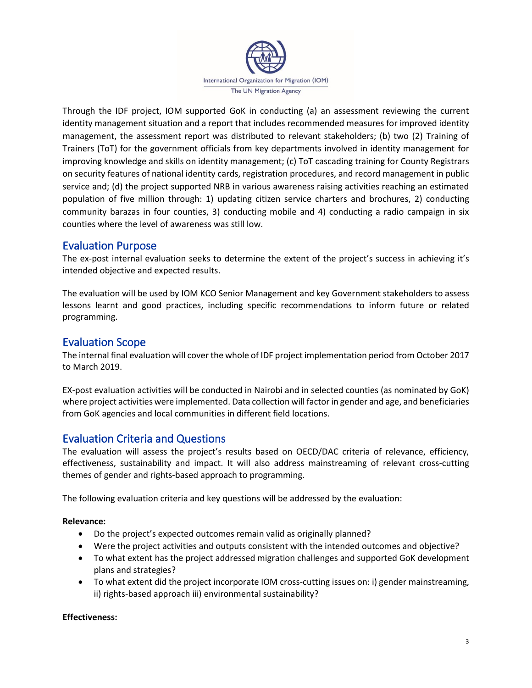

Through the IDF project, IOM supported GoK in conducting (a) an assessment reviewing the current identity management situation and a report that includes recommended measures for improved identity management, the assessment report was distributed to relevant stakeholders; (b) two (2) Training of Trainers (ToT) for the government officials from key departments involved in identity management for improving knowledge and skills on identity management; (c) ToT cascading training for County Registrars on security features of national identity cards, registration procedures, and record management in public service and; (d) the project supported NRB in various awareness raising activities reaching an estimated population of five million through: 1) updating citizen service charters and brochures, 2) conducting community barazas in four counties, 3) conducting mobile and 4) conducting a radio campaign in six counties where the level of awareness was still low.

# Evaluation Purpose

The ex-post internal evaluation seeks to determine the extent of the project's success in achieving it's intended objective and expected results.

The evaluation will be used by IOM KCO Senior Management and key Government stakeholders to assess lessons learnt and good practices, including specific recommendations to inform future or related programming.

## Evaluation Scope

The internal final evaluation will cover the whole of IDF project implementation period from October 2017 to March 2019.

EX-post evaluation activities will be conducted in Nairobi and in selected counties (as nominated by GoK) where project activities were implemented. Data collection will factor in gender and age, and beneficiaries from GoK agencies and local communities in different field locations.

# Evaluation Criteria and Questions

The evaluation will assess the project's results based on OECD/DAC criteria of relevance, efficiency, effectiveness, sustainability and impact. It will also address mainstreaming of relevant cross-cutting themes of gender and rights-based approach to programming.

The following evaluation criteria and key questions will be addressed by the evaluation:

### **Relevance:**

- Do the project's expected outcomes remain valid as originally planned?
- Were the project activities and outputs consistent with the intended outcomes and objective?
- To what extent has the project addressed migration challenges and supported GoK development plans and strategies?
- To what extent did the project incorporate IOM cross-cutting issues on: i) gender mainstreaming, ii) rights-based approach iii) environmental sustainability?

### **Effectiveness:**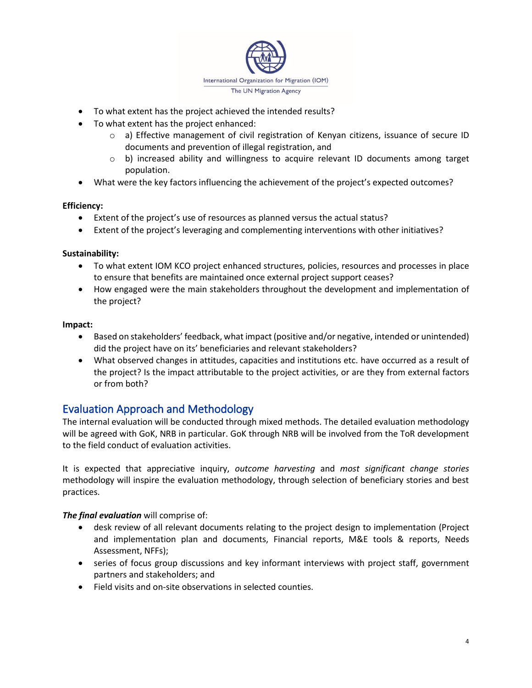

- To what extent has the project achieved the intended results?
- To what extent has the project enhanced:
	- o a) Effective management of civil registration of Kenyan citizens, issuance of secure ID documents and prevention of illegal registration, and
	- $\circ$  b) increased ability and willingness to acquire relevant ID documents among target population.
- What were the key factors influencing the achievement of the project's expected outcomes?

#### **Efficiency:**

- Extent of the project's use of resources as planned versus the actual status?
- Extent of the project's leveraging and complementing interventions with other initiatives?

### **Sustainability:**

- To what extent IOM KCO project enhanced structures, policies, resources and processes in place to ensure that benefits are maintained once external project support ceases?
- How engaged were the main stakeholders throughout the development and implementation of the project?

#### **Impact:**

- Based on stakeholders' feedback, what impact (positive and/or negative, intended or unintended) did the project have on its' beneficiaries and relevant stakeholders?
- What observed changes in attitudes, capacities and institutions etc. have occurred as a result of the project? Is the impact attributable to the project activities, or are they from external factors or from both?

# Evaluation Approach and Methodology

The internal evaluation will be conducted through mixed methods. The detailed evaluation methodology will be agreed with GoK, NRB in particular. GoK through NRB will be involved from the ToR development to the field conduct of evaluation activities.

It is expected that appreciative inquiry, *outcome harvesting* and *most significant change stories* methodology will inspire the evaluation methodology, through selection of beneficiary stories and best practices.

### *The final evaluation* will comprise of:

- desk review of all relevant documents relating to the project design to implementation (Project and implementation plan and documents, Financial reports, M&E tools & reports, Needs Assessment, NFFs);
- series of focus group discussions and key informant interviews with project staff, government partners and stakeholders; and
- Field visits and on-site observations in selected counties.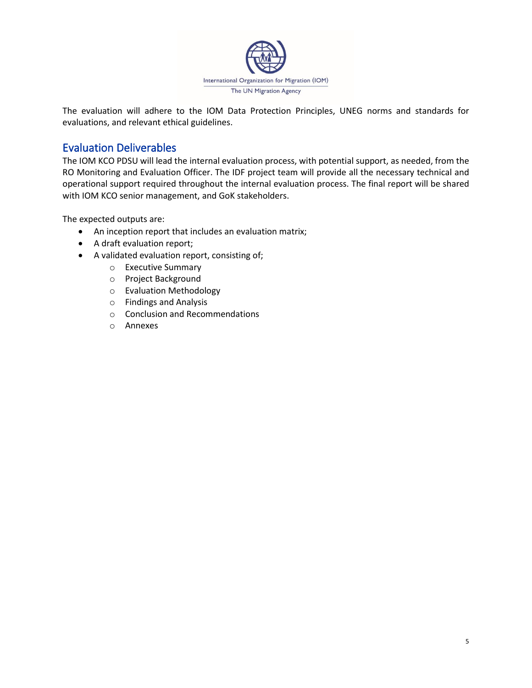

The evaluation will adhere to the IOM Data Protection Principles, UNEG norms and standards for evaluations, and relevant ethical guidelines.

# Evaluation Deliverables

The IOM KCO PDSU will lead the internal evaluation process, with potential support, as needed, from the RO Monitoring and Evaluation Officer. The IDF project team will provide all the necessary technical and operational support required throughout the internal evaluation process. The final report will be shared with IOM KCO senior management, and GoK stakeholders.

The expected outputs are:

- An inception report that includes an evaluation matrix;
- A draft evaluation report;
- A validated evaluation report, consisting of;
	- o Executive Summary
	- o Project Background
	- o Evaluation Methodology
	- o Findings and Analysis
	- o Conclusion and Recommendations
	- o Annexes